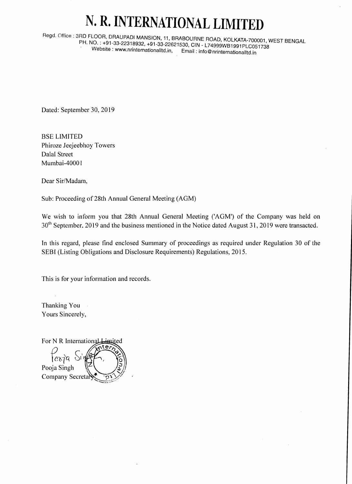## N. R. INTERNATIONAL LIMITED

Regd. Office: 3RD FLOOR, DRAUPADI MANSION, 11, BRABOURNE ROAD, KOLKATA-700001, WEST BENGAL PH. NO.: +91-33-22318932, +91-33-22621530, CIN - L74999WB1991PLC051738 Website: www.nrinternationalltd.in, Email: info@nrinternationalltd.in

Dated: September 30, 2019

**BSE LIMITED** Phiroze Jeejeebhoy Towers Dalal Street Mumbai-40001

Dear Sir/Madam,

Sub: Proceeding of 28th Annual General Meeting (AGM)

We wish to inform you that 28th Annual General Meeting ('AGM') of the Company was held on 30<sup>th</sup> September, 2019 and the business mentioned in the Notice dated August 31, 2019 were transacted.

In this regard, please find enclosed Summary of proceedings as required under Regulation 30 of the SEBI (Listing Obligations and Disclosure Requirements) Regulations, 2015.

This is for your information and records.

Thanking You Yours Sincerely,

For N R International Limited ক্ৰিক্ট ঠা Pooja Singh Company Secreta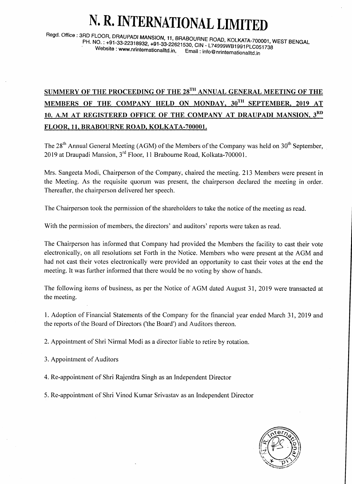## N. R. INTERNATIONAL LIMITE

Regd. Office: 3RD FLOOR, DRAUPADI MANSION, 11, BRABOURNE ROAD, KOLKATA-700001, WEST BENGAL<br>PH. NO.: +91-33-22318932, +91-33-22621530, CIN - L74999WB1991PLC051738<br>Website: www.nrinternationalltd.in, Email: info@nrinternatio

## SUMMERY OF THE PROCEEDING OF THE  $28^{TH}$  annual general meeting of the MEMBERS OF THE COMPANY HELD ON MONDAY, 30TH SEPTEMBER, 2019 AT 10. A.M AT REGISTERED OFFICE OF THE COMPANY AT DRAUPADI MANSION. 3RD FLOOR, 11, BRABOURNE ROAD, KOLKATA-700001.

The  $28<sup>th</sup>$  Annual General Meeting (AGM) of the Members of the Company was held on  $30<sup>th</sup>$  September, 2019 at Draupadi Mansion, 3'd Floor, 1l Braboume Road, Kolkata-700001.

Mrs. Sangeeta Modi, Chairperson of the Company, chaired the meeting. 213 Members were present in the Meeting. As the requisite quorum was present, the chairperson declared the meeting in order. Thereafter, the chairperson delivered her speech.

The Chairperson took the permission of the shareholders to take the notice of the meeting as read.

With the permission of members, the directors' and auditors' reports were taken as read.

The Chairperson has informed that Company had provided the Members the facility to cast their vote electronically, on all resolutions set Forth in the Notice. Members who were present at the AGM and had not cast their votes electronically were provided an opportunity to cast their votes at the end the meeting. It was further informed that there would be no voting by show of hands.

The following items of business, as per the Notice of AGM dated August 31, 2019 were transacted at the meeting.

1. Adoption of Financial Statements of the Company for the financial year ended March 31,2019 and the reports of the Board of Directors ('the Board') and Auditors thereon.

2. Appointment of Shri Nirmal Modi as a director liable to retire by rotation.

3. Appointment of Auditors

4. Re-appointment of Shri Rajendra Singh as an Independent Director

5. Re-appointment of Shri Vinod Kumar Srivastav as an Independent Director